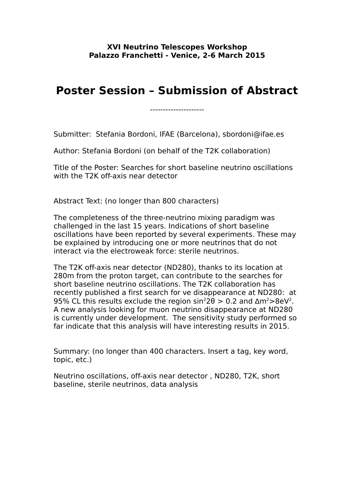## **Poster Session – Submission of Abstract**

---------------------

Submitter: Stefania Bordoni, IFAE (Barcelona), sbordoni@ifae.es

Author: Stefania Bordoni (on behalf of the T2K collaboration)

Title of the Poster: Searches for short baseline neutrino oscillations with the T2K off-axis near detector

Abstract Text: (no longer than 800 characters)

The completeness of the three-neutrino mixing paradigm was challenged in the last 15 years. Indications of short baseline oscillations have been reported by several experiments. These may be explained by introducing one or more neutrinos that do not interact via the electroweak force: sterile neutrinos.

The T2K off-axis near detector (ND280), thanks to its location at 280m from the proton target, can contribute to the searches for short baseline neutrino oscillations. The T2K collaboration has recently published a first search for νe disappearance at ND280: at 95% CL this results exclude the region  $sin^2 2\theta > 0.2$  and  $Δm^2 > 8eV^2$ . A new analysis looking for muon neutrino disappearance at ND280 is currently under development. The sensitivity study performed so far indicate that this analysis will have interesting results in 2015.

Summary: (no longer than 400 characters. Insert a tag, key word, topic, etc.)

Neutrino oscillations, off-axis near detector , ND280, T2K, short baseline, sterile neutrinos, data analysis